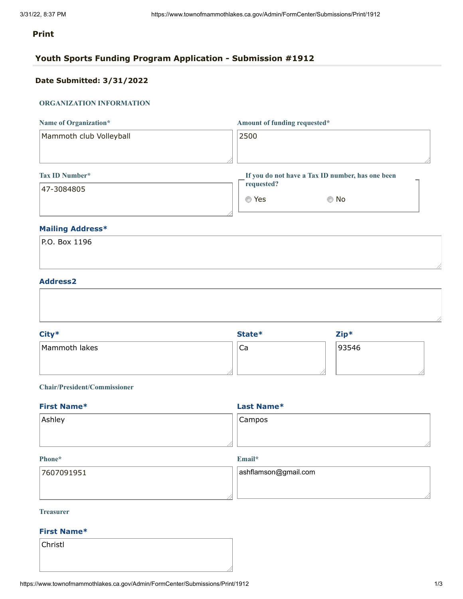#### **Print**

### **Youth Sports Funding Program Application - Submission #1912**

### **Date Submitted: 3/31/2022**

#### **ORGANIZATION INFORMATION**

| Name of Organization*   | Amount of funding requested*                     |
|-------------------------|--------------------------------------------------|
| Mammoth club Volleyball | 2500                                             |
|                         |                                                  |
| <b>Tax ID Number*</b>   | If you do not have a Tax ID number, has one been |
| 47-3084805              | requested?                                       |

#### **Mailing Address\***

| $ P.0.$ Box 1196 |  |  |  |
|------------------|--|--|--|
|                  |  |  |  |
|                  |  |  |  |

 $\circ$  Yes  $\circ$  No

#### **Address2**

| City*         | State* | $Zip*$ |  |
|---------------|--------|--------|--|
| Mammoth lakes | Ca     | 93546  |  |
|               |        |        |  |
|               |        |        |  |

#### **Chair/President/Commissioner**

| Campos |  |
|--------|--|
|        |  |
|        |  |

#### **Phone\***

**Email\***

| 7607091951 | $ $ ashflamson@gmail.com |
|------------|--------------------------|
|            |                          |
|            |                          |

#### **Treasurer**

#### **First Name\***

Christl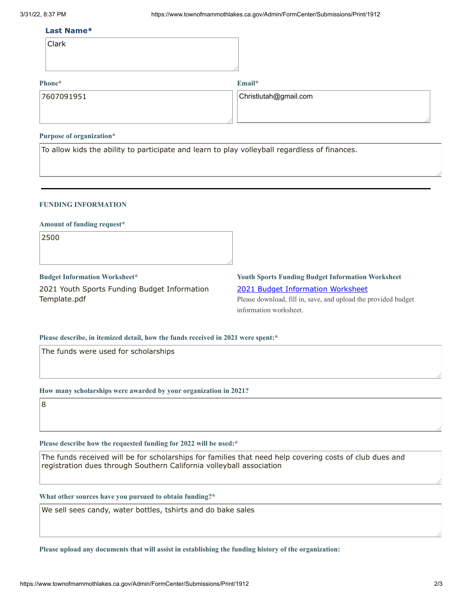#### **Last Name\***

| Clark |  |
|-------|--|
|       |  |

#### **Phone\***

**Email\***

Christlutah@gmail.com

#### **Purpose of organization\***

To allow kids the ability to participate and learn to play volleyball regardless of finances.

#### **FUNDING INFORMATION**

#### **Amount of funding request\***

2500

**Budget Information Worksheet\*** 2021 Youth Sports Funding Budget Information Template.pdf

### **Youth Sports Funding Budget Information Worksheet** 2021 Budget [Information](https://www.townofmammothlakes.ca.gov/DocumentCenter/View/11932/2021-Youth-Sports-Funding-Budget-Information-Template) Worksheet Please download, fill in, save, and upload the provided budget information worksheet.

#### **Please describe, in itemized detail, how the funds received in 2021 were spent:\***

The funds were used for scholarships

**How many scholarships were awarded by your organization in 2021?**

8

**Please describe how the requested funding for 2022 will be used:\***

The funds received will be for scholarships for families that need help covering costs of club dues and registration dues through Southern California volleyball association

**What other sources have you pursued to obtain funding?\***

We sell sees candy, water bottles, tshirts and do bake sales

**Please upload any documents that will assist in establishing the funding history of the organization:**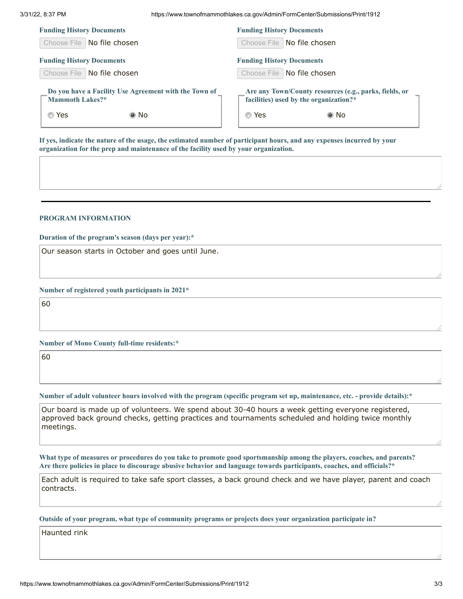|  | 3/31/22, 8:37 PM |  |
|--|------------------|--|
|  |                  |  |

3/31/22, 8:37 PM https://www.townofmammothlakes.ca.gov/Admin/FormCenter/Submissions/Print/1912

| <b>Funding History Documents</b>                                                 | <b>Funding History Documents</b>                                                                          |  |  |
|----------------------------------------------------------------------------------|-----------------------------------------------------------------------------------------------------------|--|--|
| Choose File   No file chosen                                                     | Choose File   No file chosen                                                                              |  |  |
| <b>Funding History Documents</b>                                                 | <b>Funding History Documents</b>                                                                          |  |  |
| Choose File   No file chosen                                                     | Choose File   No file chosen                                                                              |  |  |
| Do you have a Facility Use Agreement with the Town of<br>Mammoth Lakes?*<br>◉ No | Are any Town/County resources (e.g., parks, fields, or<br>facilities) used by the organization?*<br>◎ Yes |  |  |
| ◎ Yes                                                                            | ◉ No                                                                                                      |  |  |

If yes, indicate the nature of the usage, the estimated number of participant hours, and any expenses incurred by your **organization for the prep and maintenance of the facility used by your organization.**

#### **PROGRAM INFORMATION**

**Duration of the program's season (days per year):\***

Our season starts in October and goes until June.

**Number of registered youth participants in 2021\***

60

**Number of Mono County full-time residents:\***

60

Number of adult volunteer hours involved with the program (specific program set up, maintenance, etc. - provide details):\*

Our board is made up of volunteers. We spend about 30-40 hours a week getting everyone registered, approved back ground checks, getting practices and tournaments scheduled and holding twice monthly meetings.

What type of measures or procedures do you take to promote good sportsmanship among the players, coaches, and parents? Are there policies in place to discourage abusive behavior and language towards participants, coaches, and officials?\*

Each adult is required to take safe sport classes, a back ground check and we have player, parent and coach contracts.

**Outside of your program, what type of community programs or projects does your organization participate in?**

Haunted rink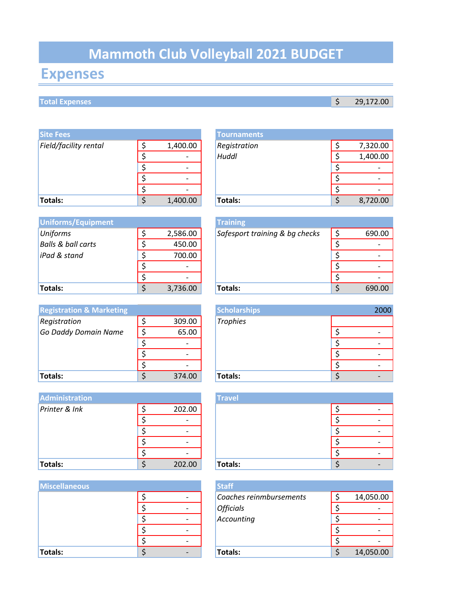# **Mammoth Club Volleyball 2021 BUDGET**

# **Expenses**

## **Total Expenses**

| <b>Site Fees</b>      |          | <b>Tournaments</b> |
|-----------------------|----------|--------------------|
| Field/facility rental | 1,400.00 | Registration       |
|                       |          | Huddl              |
|                       |          |                    |
|                       |          |                    |
|                       |          |                    |
| Totals:               | 1,400.00 | Totals:            |

| <b>Uniforms/Equipment</b>     |          | <b>Training</b> |
|-------------------------------|----------|-----------------|
| Uniforms                      | 2,586.00 | Safespor        |
| <b>Balls &amp; ball carts</b> | 450.00   |                 |
| iPad & stand                  | 700.00   |                 |
|                               |          |                 |
|                               |          |                 |
| <b>Totals:</b>                | 3,736.00 | <b>Totals:</b>  |

| <b>Registration &amp; Marketing</b> |        | <b>Scholars</b> |
|-------------------------------------|--------|-----------------|
| Registration                        | 309.00 | <b>Trophies</b> |
| Go Daddy Domain Name                | 65.00  |                 |
|                                     |        |                 |
|                                     |        |                 |
|                                     |        |                 |
| Totals:                             | 374.00 | Totals:         |

| <b>Administration</b> |                              | <b>Travel</b> |   |
|-----------------------|------------------------------|---------------|---|
| Printer & Ink         | 202.00                       |               | ٠ |
|                       |                              |               | ٠ |
|                       |                              |               | ٠ |
|                       | $\qquad \qquad \blacksquare$ |               | ٠ |
|                       | $\overline{\phantom{a}}$     |               | ٠ |
| Totals:               | 202.00                       | Totals:       | ٠ |

| <b>Miscellaneous</b> |  | <b>Staff</b>  |
|----------------------|--|---------------|
|                      |  | Coac          |
|                      |  | Offic<br>Acco |
|                      |  |               |
|                      |  |               |
|                      |  |               |
| Totals:              |  | <b>Tota</b>   |

| <b>Site Fees</b>      |                          | <b>Tournaments</b> |          |
|-----------------------|--------------------------|--------------------|----------|
| Field/facility rental | 1,400.00                 | Registration       | 7,320.00 |
|                       | $\overline{\phantom{a}}$ | Huddl              | 1,400.00 |
|                       |                          |                    |          |
|                       | $\overline{\phantom{0}}$ |                    |          |
|                       |                          |                    |          |
| Totals:               | 1,400.00                 | <b>Totals:</b>     | 8,720.00 |
|                       |                          |                    |          |

| Uniforms/Equipment |          | <b>Training</b>                |        |
|--------------------|----------|--------------------------------|--------|
| Uniforms           | 2,586.00 | Safesport training & bg checks | 690.00 |
| Balls & ball carts | 450.00   |                                |        |
| iPad & stand       | 700.00   |                                |        |
|                    |          |                                |        |
|                    |          |                                |        |
| Totals:            | 3,736.00 | Totals:                        | 690.00 |
|                    |          |                                |        |

| <b>Registration &amp; Marketing</b> |        | <b>Scholarships</b> |  | 2000 |
|-------------------------------------|--------|---------------------|--|------|
| Registration                        | 309.00 | <b>Trophies</b>     |  |      |
| Go Daddy Domain Name                | 65.00  |                     |  |      |
|                                     |        |                     |  |      |
|                                     |        |                     |  |      |
|                                     |        |                     |  |      |
| Totals:                             | 374.00 | <b>Totals:</b>      |  |      |

|   |        | <b>Travel</b> |  |  |
|---|--------|---------------|--|--|
| ሖ | 202.00 |               |  |  |
| ← |        |               |  |  |
| ሖ |        |               |  |  |
| ሖ |        |               |  |  |
| ← |        |               |  |  |
| ሖ | 202.00 | Totals:       |  |  |

| <b>Miscellaneous</b> |  | <b>Staff</b>            |           |
|----------------------|--|-------------------------|-----------|
|                      |  | Coaches reinmbursements | 14,050.00 |
|                      |  | <b>Officials</b>        |           |
|                      |  | Accounting              |           |
|                      |  |                         |           |
|                      |  |                         |           |
| Totals:              |  | <b>Totals:</b>          | 14,050.00 |